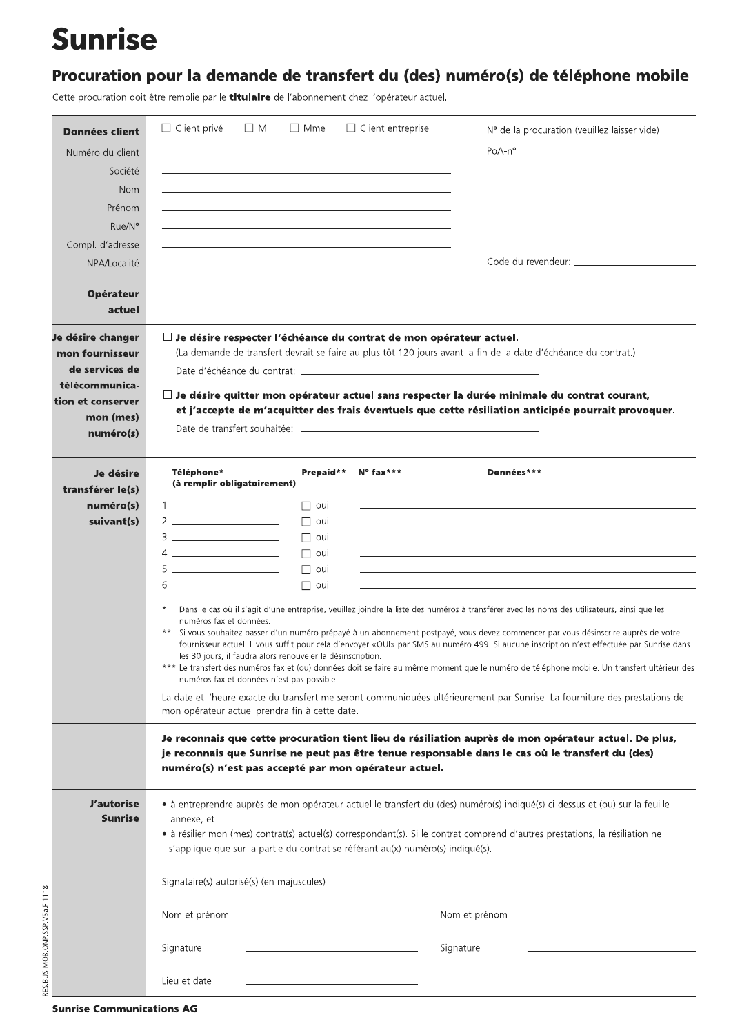## **Sunrise**

## Procuration pour la demande de transfert du (des) numéro(s) de téléphone mobile

Cette procuration doit être remplie par le titulaire de l'abonnement chez l'opérateur actuel.

| <b>Données client</b><br>Numéro du client<br>Société<br><b>Nom</b><br>Prénom<br>Rue/N°                                  | $\Box$ Client privé<br>$\Box$ M.                                                                                                                                                                                                                                                                                                                                                                                                                                                  | $\Box$ Mme                                                                                                                                                                                                                                                                                                                                                                                                                | $\Box$ Client entreprise | $No$ de la procuration (veuillez laisser vide)<br>$PoA-n^{\circ}$                                                                                                                                                                                                                                                                                                                                                                                                                                                                                                                                                                                                                                                                                                                                                                                                                                                                 |  |  |  |
|-------------------------------------------------------------------------------------------------------------------------|-----------------------------------------------------------------------------------------------------------------------------------------------------------------------------------------------------------------------------------------------------------------------------------------------------------------------------------------------------------------------------------------------------------------------------------------------------------------------------------|---------------------------------------------------------------------------------------------------------------------------------------------------------------------------------------------------------------------------------------------------------------------------------------------------------------------------------------------------------------------------------------------------------------------------|--------------------------|-----------------------------------------------------------------------------------------------------------------------------------------------------------------------------------------------------------------------------------------------------------------------------------------------------------------------------------------------------------------------------------------------------------------------------------------------------------------------------------------------------------------------------------------------------------------------------------------------------------------------------------------------------------------------------------------------------------------------------------------------------------------------------------------------------------------------------------------------------------------------------------------------------------------------------------|--|--|--|
| Compl. d'adresse<br>NPA/Localité                                                                                        |                                                                                                                                                                                                                                                                                                                                                                                                                                                                                   |                                                                                                                                                                                                                                                                                                                                                                                                                           |                          |                                                                                                                                                                                                                                                                                                                                                                                                                                                                                                                                                                                                                                                                                                                                                                                                                                                                                                                                   |  |  |  |
| <b>Opérateur</b><br>actuel                                                                                              |                                                                                                                                                                                                                                                                                                                                                                                                                                                                                   |                                                                                                                                                                                                                                                                                                                                                                                                                           |                          |                                                                                                                                                                                                                                                                                                                                                                                                                                                                                                                                                                                                                                                                                                                                                                                                                                                                                                                                   |  |  |  |
| Je désire changer<br>mon fournisseur<br>de services de<br>télécommunica-<br>tion et conserver<br>mon (mes)<br>numéro(s) | $\Box$ Je désire respecter l'échéance du contrat de mon opérateur actuel.                                                                                                                                                                                                                                                                                                                                                                                                         |                                                                                                                                                                                                                                                                                                                                                                                                                           |                          | (La demande de transfert devrait se faire au plus tôt 120 jours avant la fin de la date d'échéance du contrat.)<br>$\Box$ Je désire quitter mon opérateur actuel sans respecter la durée minimale du contrat courant,<br>et j'accepte de m'acquitter des frais éventuels que cette résiliation anticipée pourrait provoquer.                                                                                                                                                                                                                                                                                                                                                                                                                                                                                                                                                                                                      |  |  |  |
| Je désire<br>transférer le(s)<br>numéro(s)<br>suivant(s)                                                                | Téléphone*<br>(à remplir obligatoirement)<br>1 <u>______________</u> _______<br>$3 \thinspace - \thinspace$<br>$4 \underline{\hspace{1cm}}$<br>$\begin{tabular}{c} 5 \end{tabular}$<br>$6 \thinspace -$<br>$^{\star}$<br>numéros fax et données.<br>$* *$<br>les 30 jours, il faudra alors renouveler la désinscription.<br>numéros fax et données n'est pas possible.<br>mon opérateur actuel prendra fin à cette date.<br>numéro(s) n'est pas accepté par mon opérateur actuel. | Prepaid**<br>$\Box$ oui<br>$\Box$ oui<br>$\Box$ oui<br>$\Box$ oui<br>$\Box$ oui<br>□ oui                                                                                                                                                                                                                                                                                                                                  | $N^{\circ}$ fax***       | Données***<br>Dans le cas où il s'agit d'une entreprise, veuillez joindre la liste des numéros à transférer avec les noms des utilisateurs, ainsi que les<br>Si vous souhaitez passer d'un numéro prépayé à un abonnement postpayé, vous devez commencer par vous désinscrire auprès de votre<br>fournisseur actuel. Il vous suffit pour cela d'envoyer «OUI» par SMS au numéro 499. Si aucune inscription n'est effectuée par Sunrise dans<br>Le transfert des numéros fax et (ou) données doit se faire au même moment que le numéro de téléphone mobile. Un transfert ultérieur des<br>La date et l'heure exacte du transfert me seront communiquées ultérieurement par Sunrise. La fourniture des prestations de<br>Je reconnais que cette procuration tient lieu de résiliation auprès de mon opérateur actuel. De plus,<br>je reconnais que Sunrise ne peut pas être tenue responsable dans le cas où le transfert du (des) |  |  |  |
| <b>J'autorise</b><br><b>Sunrise</b><br>RES.BUS.MOB.ONP.SSP.V5a.F.1118                                                   | annexe, et<br>Nom et prénom<br>Signature<br>Lieu et date                                                                                                                                                                                                                                                                                                                                                                                                                          | • à entreprendre auprès de mon opérateur actuel le transfert du (des) numéro(s) indiqué(s) ci-dessus et (ou) sur la feuille<br>• à résilier mon (mes) contrat(s) actuel(s) correspondant(s). Si le contrat comprend d'autres prestations, la résiliation ne<br>s'applique que sur la partie du contrat se référant au(x) numéro(s) indiqué(s).<br>Signataire(s) autorisé(s) (en majuscules)<br>Nom et prénom<br>Signature |                          |                                                                                                                                                                                                                                                                                                                                                                                                                                                                                                                                                                                                                                                                                                                                                                                                                                                                                                                                   |  |  |  |

**Sunrise Communications AG**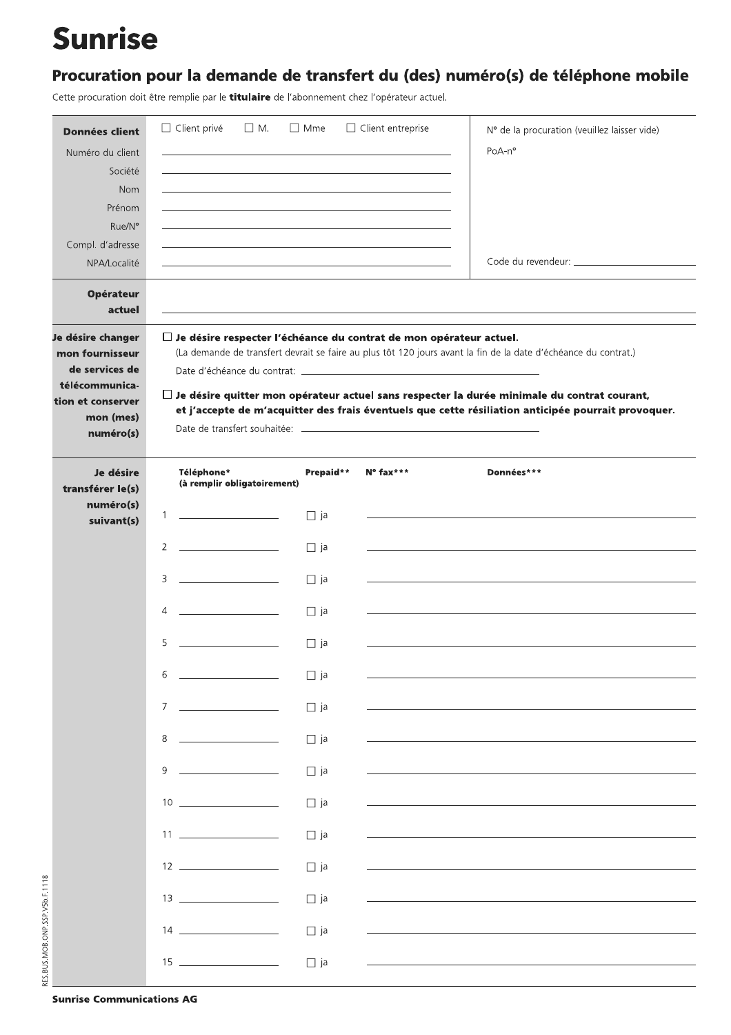## **Sunrise**

## Procuration pour la demande de transfert du (des) numéro(s) de téléphone mobile

Cette procuration doit être remplie par le titulaire de l'abonnement chez l'opérateur actuel.

| <b>Données client</b>                                                                                                   | $\Box$ Client privé<br>$\Box$ M.                                                                                 | $\Box$ Mme | $\Box$ Client entreprise | Nº de la procuration (veuillez laisser vide)                                                                                                                                                                                                                                                                                 |
|-------------------------------------------------------------------------------------------------------------------------|------------------------------------------------------------------------------------------------------------------|------------|--------------------------|------------------------------------------------------------------------------------------------------------------------------------------------------------------------------------------------------------------------------------------------------------------------------------------------------------------------------|
| Numéro du client                                                                                                        |                                                                                                                  |            |                          | PoA-n°                                                                                                                                                                                                                                                                                                                       |
| Société                                                                                                                 | and the control of the control of the control of the control of the control of the control of the control of the |            |                          |                                                                                                                                                                                                                                                                                                                              |
| <b>Nom</b>                                                                                                              |                                                                                                                  |            |                          |                                                                                                                                                                                                                                                                                                                              |
| Prénom                                                                                                                  |                                                                                                                  |            |                          |                                                                                                                                                                                                                                                                                                                              |
| Rue/N°                                                                                                                  |                                                                                                                  |            |                          |                                                                                                                                                                                                                                                                                                                              |
| Compl. d'adresse<br>NPA/Localité                                                                                        | <u> 1980 - John Stone, amerikansk politiker (d. 1980)</u>                                                        |            |                          |                                                                                                                                                                                                                                                                                                                              |
|                                                                                                                         |                                                                                                                  |            |                          |                                                                                                                                                                                                                                                                                                                              |
| <b>Opérateur</b><br>actuel                                                                                              |                                                                                                                  |            |                          |                                                                                                                                                                                                                                                                                                                              |
| Je désire changer<br>mon fournisseur<br>de services de<br>télécommunica-<br>tion et conserver<br>mon (mes)<br>numéro(s) | $\Box$ Je désire respecter l'échéance du contrat de mon opérateur actuel.                                        |            |                          | (La demande de transfert devrait se faire au plus tôt 120 jours avant la fin de la date d'échéance du contrat.)<br>$\Box$ Je désire quitter mon opérateur actuel sans respecter la durée minimale du contrat courant,<br>et j'accepte de m'acquitter des frais éventuels que cette résiliation anticipée pourrait provoquer. |
| Je désire<br>transférer le(s)                                                                                           | Téléphone*<br>(à remplir obligatoirement)                                                                        | Prepaid**  | $N^{\circ}$ fax***       | Données***                                                                                                                                                                                                                                                                                                                   |
| numéro(s)<br>suivant(s)                                                                                                 | $\mathbf{1}$                                                                                                     | $\Box$ ja  |                          |                                                                                                                                                                                                                                                                                                                              |
|                                                                                                                         | $\overline{2}$<br>the control of the control of the control of                                                   | $\Box$ ja  |                          |                                                                                                                                                                                                                                                                                                                              |
|                                                                                                                         | 3                                                                                                                | $\Box$ ja  |                          |                                                                                                                                                                                                                                                                                                                              |
|                                                                                                                         | <u>and the state of the state of the state</u><br>4                                                              | $\Box$ ja  |                          |                                                                                                                                                                                                                                                                                                                              |
|                                                                                                                         | 5                                                                                                                | $\Box$ ja  |                          |                                                                                                                                                                                                                                                                                                                              |
|                                                                                                                         | 6                                                                                                                | $\Box$ ja  |                          |                                                                                                                                                                                                                                                                                                                              |
|                                                                                                                         | $7^{\circ}$                                                                                                      | $\Box$ ja  |                          |                                                                                                                                                                                                                                                                                                                              |
|                                                                                                                         | 8<br>the control of the control of the con-                                                                      | $\Box$ ja  |                          |                                                                                                                                                                                                                                                                                                                              |
|                                                                                                                         | 9                                                                                                                | $\Box$ ja  |                          |                                                                                                                                                                                                                                                                                                                              |
|                                                                                                                         | $10 \begin{array}{ccc} \hline \end{array}$                                                                       | $\Box$ ja  |                          |                                                                                                                                                                                                                                                                                                                              |
|                                                                                                                         |                                                                                                                  | $\Box$ ja  |                          |                                                                                                                                                                                                                                                                                                                              |
|                                                                                                                         | $12 \quad \overline{\qquad}$                                                                                     | $\Box$ ja  |                          |                                                                                                                                                                                                                                                                                                                              |
|                                                                                                                         |                                                                                                                  | $\Box$ ja  |                          |                                                                                                                                                                                                                                                                                                                              |
|                                                                                                                         |                                                                                                                  | $\Box$ ja  |                          |                                                                                                                                                                                                                                                                                                                              |
|                                                                                                                         |                                                                                                                  | $\Box$ ja  |                          |                                                                                                                                                                                                                                                                                                                              |